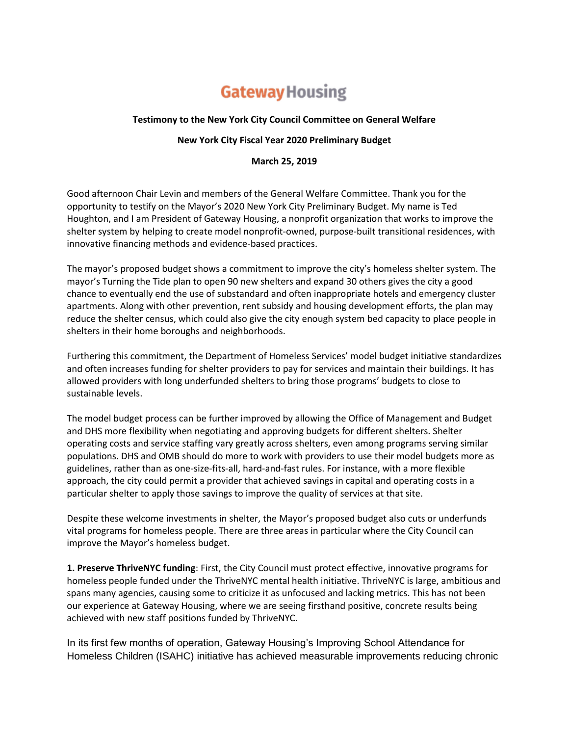## **Gateway Housing**

## **Testimony to the New York City Council Committee on General Welfare**

## **New York City Fiscal Year 2020 Preliminary Budget**

## **March 25, 2019**

Good afternoon Chair Levin and members of the General Welfare Committee. Thank you for the opportunity to testify on the Mayor's 2020 New York City Preliminary Budget. My name is Ted Houghton, and I am President of Gateway Housing, a nonprofit organization that works to improve the shelter system by helping to create model nonprofit-owned, purpose-built transitional residences, with innovative financing methods and evidence-based practices.

The mayor's proposed budget shows a commitment to improve the city's homeless shelter system. The mayor's Turning the Tide plan to open 90 new shelters and expand 30 others gives the city a good chance to eventually end the use of substandard and often inappropriate hotels and emergency cluster apartments. Along with other prevention, rent subsidy and housing development efforts, the plan may reduce the shelter census, which could also give the city enough system bed capacity to place people in shelters in their home boroughs and neighborhoods.

Furthering this commitment, the Department of Homeless Services' model budget initiative standardizes and often increases funding for shelter providers to pay for services and maintain their buildings. It has allowed providers with long underfunded shelters to bring those programs' budgets to close to sustainable levels.

The model budget process can be further improved by allowing the Office of Management and Budget and DHS more flexibility when negotiating and approving budgets for different shelters. Shelter operating costs and service staffing vary greatly across shelters, even among programs serving similar populations. DHS and OMB should do more to work with providers to use their model budgets more as guidelines, rather than as one-size-fits-all, hard-and-fast rules. For instance, with a more flexible approach, the city could permit a provider that achieved savings in capital and operating costs in a particular shelter to apply those savings to improve the quality of services at that site.

Despite these welcome investments in shelter, the Mayor's proposed budget also cuts or underfunds vital programs for homeless people. There are three areas in particular where the City Council can improve the Mayor's homeless budget.

**1. Preserve ThriveNYC funding**: First, the City Council must protect effective, innovative programs for homeless people funded under the ThriveNYC mental health initiative. ThriveNYC is large, ambitious and spans many agencies, causing some to criticize it as unfocused and lacking metrics. This has not been our experience at Gateway Housing, where we are seeing firsthand positive, concrete results being achieved with new staff positions funded by ThriveNYC.

In its first few months of operation, Gateway Housing's Improving School Attendance for Homeless Children (ISAHC) initiative has achieved measurable improvements reducing chronic